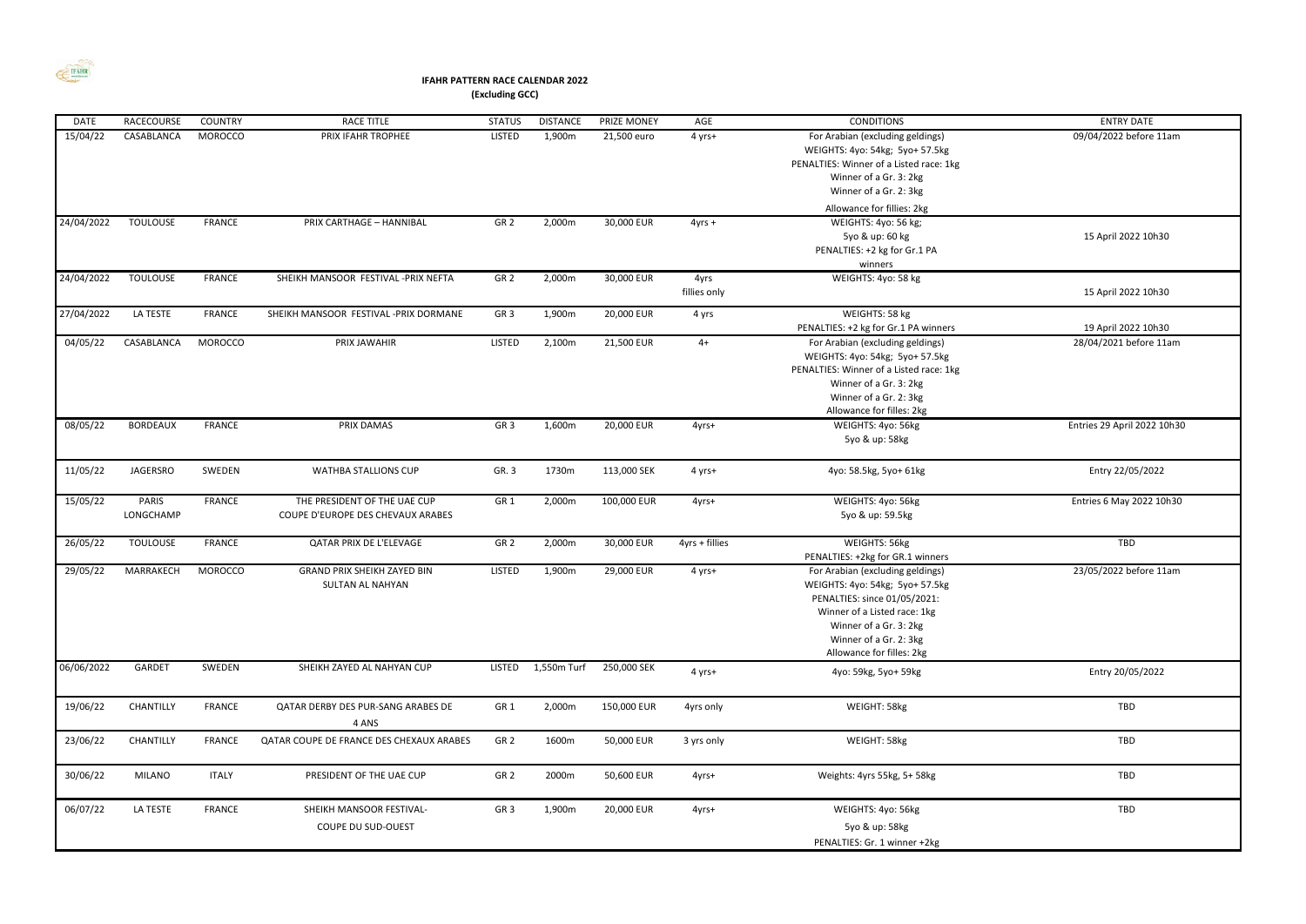

## **IFAHR PATTERN RACE CALENDAR 2022 (Excluding GCC)**

| <b>DATE</b> | <b>RACECOURSE</b>  | <b>COUNTRY</b> | <b>RACE TITLE</b>                                                 | <b>STATUS</b>   | <b>DISTANCE</b> | PRIZE MONEY | AGE                  | <b>CONDITIONS</b>                                                                                                                                                                                                    | <b>ENTRY DATE</b>           |
|-------------|--------------------|----------------|-------------------------------------------------------------------|-----------------|-----------------|-------------|----------------------|----------------------------------------------------------------------------------------------------------------------------------------------------------------------------------------------------------------------|-----------------------------|
| 15/04/22    | CASABLANCA         | MOROCCO        | PRIX IFAHR TROPHEE                                                | <b>LISTED</b>   | 1,900m          | 21,500 euro | 4 yrs+               | For Arabian (excluding geldings)<br>WEIGHTS: 4yo: 54kg; 5yo+ 57.5kg<br>PENALTIES: Winner of a Listed race: 1kg<br>Winner of a Gr. 3: 2kg<br>Winner of a Gr. 2: 3kg<br>Allowance for fillies: 2kg                     | 09/04/2022 before 11am      |
| 24/04/2022  | <b>TOULOUSE</b>    | <b>FRANCE</b>  | PRIX CARTHAGE - HANNIBAL                                          | GR <sub>2</sub> | 2,000m          | 30,000 EUR  | $4yrs +$             | WEIGHTS: 4yo: 56 kg;<br>5yo & up: 60 kg<br>PENALTIES: +2 kg for Gr.1 PA<br>winners                                                                                                                                   | 15 April 2022 10h30         |
| 24/04/2022  | <b>TOULOUSE</b>    | <b>FRANCE</b>  | SHEIKH MANSOOR FESTIVAL -PRIX NEFTA                               | GR <sub>2</sub> | 2,000m          | 30,000 EUR  | 4yrs<br>fillies only | WEIGHTS: 4yo: 58 kg                                                                                                                                                                                                  | 15 April 2022 10h30         |
| 27/04/2022  | LA TESTE           | <b>FRANCE</b>  | SHEIKH MANSOOR FESTIVAL - PRIX DORMANE                            | GR <sub>3</sub> | 1,900m          | 20,000 EUR  | 4 yrs                | WEIGHTS: 58 kg<br>PENALTIES: +2 kg for Gr.1 PA winners                                                                                                                                                               | 19 April 2022 10h30         |
| 04/05/22    | CASABLANCA         | MOROCCO        | PRIX JAWAHIR                                                      | <b>LISTED</b>   | 2,100m          | 21,500 EUR  | $4+$                 | For Arabian (excluding geldings)<br>WEIGHTS: 4yo: 54kg; 5yo+ 57.5kg<br>PENALTIES: Winner of a Listed race: 1kg<br>Winner of a Gr. 3: 2kg<br>Winner of a Gr. 2: 3kg<br>Allowance for filles: 2kg                      | 28/04/2021 before 11am      |
| 08/05/22    | <b>BORDEAUX</b>    | <b>FRANCE</b>  | PRIX DAMAS                                                        | GR <sub>3</sub> | 1,600m          | 20,000 EUR  | 4yrs+                | WEIGHTS: 4yo: 56kg<br>5yo & up: 58kg                                                                                                                                                                                 | Entries 29 April 2022 10h30 |
| 11/05/22    | <b>JAGERSRO</b>    | SWEDEN         | <b>WATHBA STALLIONS CUP</b>                                       | GR. 3           | 1730m           | 113,000 SEK | 4 yrs+               | 4yo: 58.5kg, 5yo+ 61kg                                                                                                                                                                                               | Entry 22/05/2022            |
| 15/05/22    | PARIS<br>LONGCHAMP | FRANCE         | THE PRESIDENT OF THE UAE CUP<br>COUPE D'EUROPE DES CHEVAUX ARABES | GR <sub>1</sub> | 2,000m          | 100,000 EUR | 4yrs+                | WEIGHTS: 4yo: 56kg<br>5yo & up: 59.5kg                                                                                                                                                                               | Entries 6 May 2022 10h30    |
| 26/05/22    | <b>TOULOUSE</b>    | <b>FRANCE</b>  | QATAR PRIX DE L'ELEVAGE                                           | GR <sub>2</sub> | 2,000m          | 30,000 EUR  | $4yrs + fillies$     | WEIGHTS: 56kg<br>PENALTIES: +2kg for GR.1 winners                                                                                                                                                                    | TBD                         |
| 29/05/22    | MARRAKECH          | MOROCCO        | <b>GRAND PRIX SHEIKH ZAYED BIN</b><br><b>SULTAN AL NAHYAN</b>     | <b>LISTED</b>   | 1,900m          | 29,000 EUR  | 4 yrs+               | For Arabian (excluding geldings)<br>WEIGHTS: 4yo: 54kg; 5yo+ 57.5kg<br>PENALTIES: since 01/05/2021:<br>Winner of a Listed race: 1kg<br>Winner of a Gr. 3: 2kg<br>Winner of a Gr. 2: 3kg<br>Allowance for filles: 2kg | 23/05/2022 before 11am      |
| 06/06/2022  | GARDET             | SWEDEN         | SHEIKH ZAYED AL NAHYAN CUP                                        | LISTED          | 1,550m Turf     | 250,000 SEK | 4 yrs+               | 4yo: 59kg, 5yo+ 59kg                                                                                                                                                                                                 | Entry 20/05/2022            |
| 19/06/22    | CHANTILLY          | FRANCE         | QATAR DERBY DES PUR-SANG ARABES DE<br>4 ANS                       | GR <sub>1</sub> | 2,000m          | 150,000 EUR | 4yrs only            | WEIGHT: 58kg                                                                                                                                                                                                         | TBD                         |
| 23/06/22    | CHANTILLY          | <b>FRANCE</b>  | QATAR COUPE DE FRANCE DES CHEXAUX ARABES                          | GR <sub>2</sub> | 1600m           | 50,000 EUR  | 3 yrs only           | WEIGHT: 58kg                                                                                                                                                                                                         | TBD                         |
| 30/06/22    | MILANO             | <b>ITALY</b>   | PRESIDENT OF THE UAE CUP                                          | GR <sub>2</sub> | 2000m           | 50,600 EUR  | 4yrs+                | Weights: 4yrs 55kg, 5+ 58kg                                                                                                                                                                                          | TBD                         |
| 06/07/22    | LA TESTE           | <b>FRANCE</b>  | SHEIKH MANSOOR FESTIVAL-<br>COUPE DU SUD-OUEST                    | GR <sub>3</sub> | 1,900m          | 20,000 EUR  | 4yrs+                | WEIGHTS: 4yo: 56kg<br>5yo & up: 58kg<br>PENALTIES: Gr. 1 winner +2kg                                                                                                                                                 | TBD                         |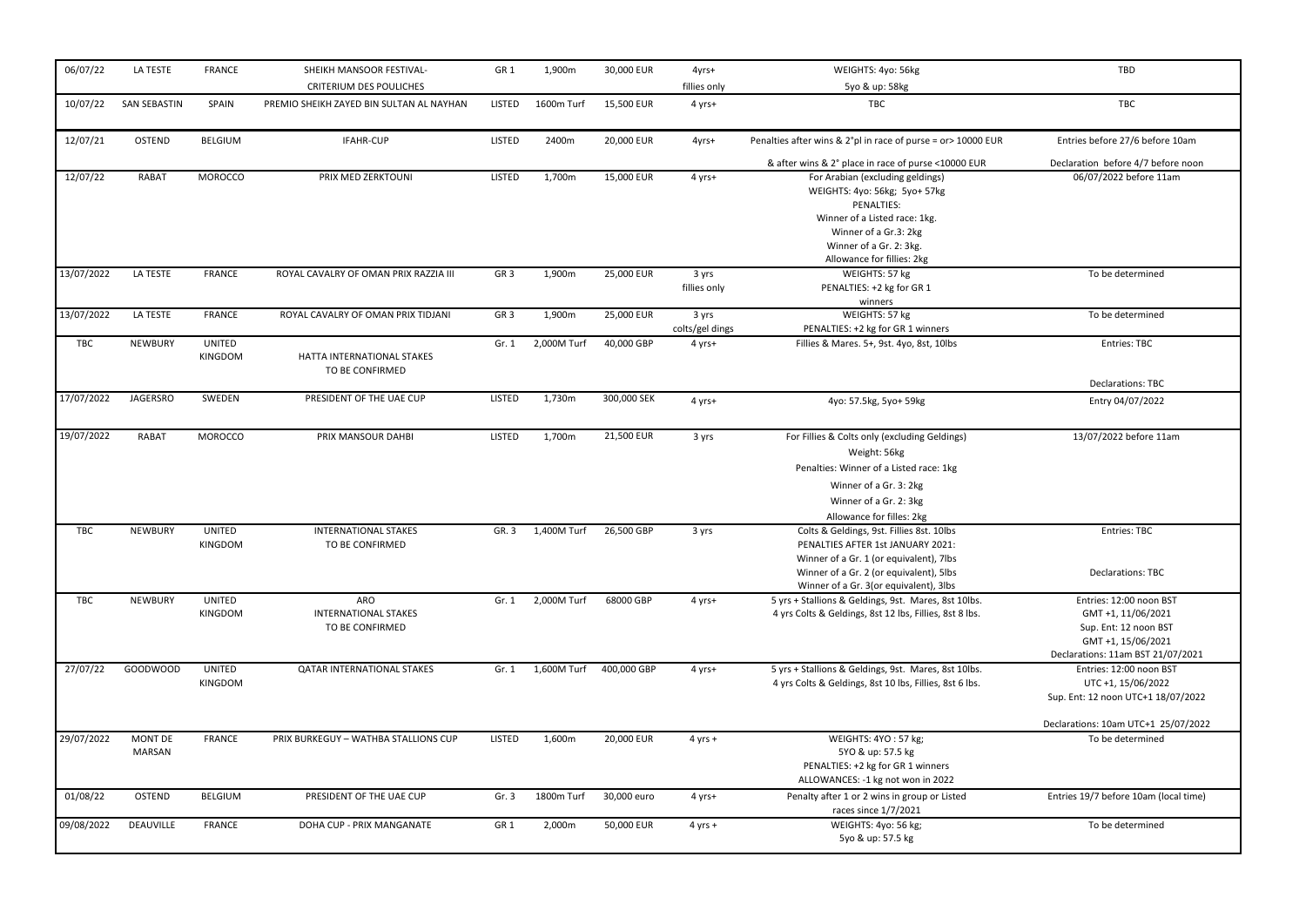| 06/07/22   | LA TESTE            | <b>FRANCE</b>                   | SHEIKH MANSOOR FESTIVAL-<br><b>CRITERIUM DES POULICHES</b>   | GR <sub>1</sub> | 1,900m      | 30,000 EUR  | 4yrs+<br>fillies only    | WEIGHTS: 4yo: 56kg<br>5yo & up: 58kg                                                                                                                                                                           | TBD                                                                                                                               |
|------------|---------------------|---------------------------------|--------------------------------------------------------------|-----------------|-------------|-------------|--------------------------|----------------------------------------------------------------------------------------------------------------------------------------------------------------------------------------------------------------|-----------------------------------------------------------------------------------------------------------------------------------|
| 10/07/22   | <b>SAN SEBASTIN</b> | SPAIN                           | PREMIO SHEIKH ZAYED BIN SULTAN AL NAYHAN                     | <b>LISTED</b>   | 1600m Turf  | 15,500 EUR  | 4 yrs+                   | <b>TBC</b>                                                                                                                                                                                                     | TBC                                                                                                                               |
| 12/07/21   | <b>OSTEND</b>       | <b>BELGIUM</b>                  | <b>IFAHR-CUP</b>                                             | <b>LISTED</b>   | 2400m       | 20,000 EUR  | 4yrs+                    | Penalties after wins & 2°pl in race of purse = or> 10000 EUR                                                                                                                                                   | Entries before 27/6 before 10am                                                                                                   |
|            |                     |                                 |                                                              |                 |             |             |                          | & after wins & 2° place in race of purse <10000 EUR                                                                                                                                                            | Declaration before 4/7 before noon                                                                                                |
| 12/07/22   | RABAT               | <b>MOROCCO</b>                  | PRIX MED ZERKTOUNI                                           | <b>LISTED</b>   | 1,700m      | 15,000 EUR  | 4 yrs+                   | For Arabian (excluding geldings)<br>WEIGHTS: 4yo: 56kg; 5yo+ 57kg<br>PENALTIES:<br>Winner of a Listed race: 1kg.<br>Winner of a Gr.3: 2kg<br>Winner of a Gr. 2: 3kg.                                           | 06/07/2022 before 11am                                                                                                            |
|            |                     |                                 |                                                              |                 |             |             |                          | Allowance for fillies: 2kg                                                                                                                                                                                     |                                                                                                                                   |
| 13/07/2022 | LA TESTE            | <b>FRANCE</b>                   | ROYAL CAVALRY OF OMAN PRIX RAZZIA III                        | GR <sub>3</sub> | 1,900m      | 25,000 EUR  | 3 yrs<br>fillies only    | WEIGHTS: 57 kg<br>PENALTIES: +2 kg for GR 1<br>winners                                                                                                                                                         | To be determined                                                                                                                  |
| 13/07/2022 | LA TESTE            | <b>FRANCE</b>                   | ROYAL CAVALRY OF OMAN PRIX TIDJANI                           | GR <sub>3</sub> | 1,900m      | 25,000 EUR  | 3 yrs<br>colts/gel dings | WEIGHTS: 57 kg<br>PENALTIES: +2 kg for GR 1 winners                                                                                                                                                            | To be determined                                                                                                                  |
| TBC        | <b>NEWBURY</b>      | <b>UNITED</b><br>KINGDOM        | HATTA INTERNATIONAL STAKES<br>TO BE CONFIRMED                | Gr. 1           | 2,000M Turf | 40,000 GBP  | 4 yrs+                   | Fillies & Mares. 5+, 9st. 4yo, 8st, 10lbs                                                                                                                                                                      | Entries: TBC                                                                                                                      |
|            |                     |                                 |                                                              |                 |             |             |                          |                                                                                                                                                                                                                | <b>Declarations: TBC</b>                                                                                                          |
| 17/07/2022 | <b>JAGERSRO</b>     | SWEDEN                          | PRESIDENT OF THE UAE CUP                                     | LISTED          | 1,730m      | 300,000 SEK | 4 yrs+                   | 4yo: 57.5kg, 5yo+ 59kg                                                                                                                                                                                         | Entry 04/07/2022                                                                                                                  |
| 19/07/2022 | RABAT               | <b>MOROCCO</b>                  | PRIX MANSOUR DAHBI                                           | <b>LISTED</b>   | 1,700m      | 21,500 EUR  | 3 yrs                    | For Fillies & Colts only (excluding Geldings)<br>Weight: 56kg<br>Penalties: Winner of a Listed race: 1kg<br>Winner of a Gr. 3: 2kg<br>Winner of a Gr. 2: 3kg<br>Allowance for filles: 2kg                      | 13/07/2022 before 11am                                                                                                            |
| TBC        | <b>NEWBURY</b>      | <b>UNITED</b><br><b>KINGDOM</b> | <b>INTERNATIONAL STAKES</b><br>TO BE CONFIRMED               | GR. 3           | 1,400M Turf | 26,500 GBP  | 3 yrs                    | Colts & Geldings, 9st. Fillies 8st. 10lbs<br>PENALTIES AFTER 1st JANUARY 2021:<br>Winner of a Gr. 1 (or equivalent), 7lbs<br>Winner of a Gr. 2 (or equivalent), 5lbs<br>Winner of a Gr. 3(or equivalent), 3lbs | <b>Entries: TBC</b><br><b>Declarations: TBC</b>                                                                                   |
| TBC        | <b>NEWBURY</b>      | <b>UNITED</b><br>KINGDOM        | <b>ARO</b><br><b>INTERNATIONAL STAKES</b><br>TO BE CONFIRMED | Gr. 1           | 2,000M Turf | 68000 GBP   | 4 yrs+                   | 5 yrs + Stallions & Geldings, 9st. Mares, 8st 10lbs.<br>4 yrs Colts & Geldings, 8st 12 lbs, Fillies, 8st 8 lbs.                                                                                                | Entries: 12:00 noon BST<br>GMT +1, 11/06/2021<br>Sup. Ent: 12 noon BST<br>GMT +1, 15/06/2021<br>Declarations: 11am BST 21/07/2021 |
| 27/07/22   | <b>GOODWOOD</b>     | <b>UNITED</b><br>KINGDOM        | <b>QATAR INTERNATIONAL STAKES</b>                            | Gr. 1           | 1,600M Turf | 400,000 GBP | 4 yrs+                   | 5 yrs + Stallions & Geldings, 9st. Mares, 8st 10lbs.<br>4 yrs Colts & Geldings, 8st 10 lbs, Fillies, 8st 6 lbs.                                                                                                | Entries: 12:00 noon BST<br>UTC +1, 15/06/2022<br>Sup. Ent: 12 noon UTC+1 18/07/2022                                               |
| 29/07/2022 | MONT DE<br>MARSAN   | <b>FRANCE</b>                   | PRIX BURKEGUY - WATHBA STALLIONS CUP                         | <b>LISTED</b>   | 1,600m      | 20,000 EUR  | $4$ yrs +                | WEIGHTS: 4YO: 57 kg;<br>5YO & up: 57.5 kg<br>PENALTIES: +2 kg for GR 1 winners<br>ALLOWANCES: -1 kg not won in 2022                                                                                            | Declarations: 10am UTC+1 25/07/2022<br>To be determined                                                                           |
| 01/08/22   | <b>OSTEND</b>       | BELGIUM                         | PRESIDENT OF THE UAE CUP                                     | Gr. 3           | 1800m Turf  | 30,000 euro | 4 yrs+                   | Penalty after 1 or 2 wins in group or Listed<br>races since 1/7/2021                                                                                                                                           | Entries 19/7 before 10am (local time)                                                                                             |
| 09/08/2022 | DEAUVILLE           | <b>FRANCE</b>                   | DOHA CUP - PRIX MANGANATE                                    | GR <sub>1</sub> | 2,000m      | 50,000 EUR  | $4$ yrs +                | WEIGHTS: 4yo: 56 kg;<br>5yo & up: 57.5 kg                                                                                                                                                                      | To be determined                                                                                                                  |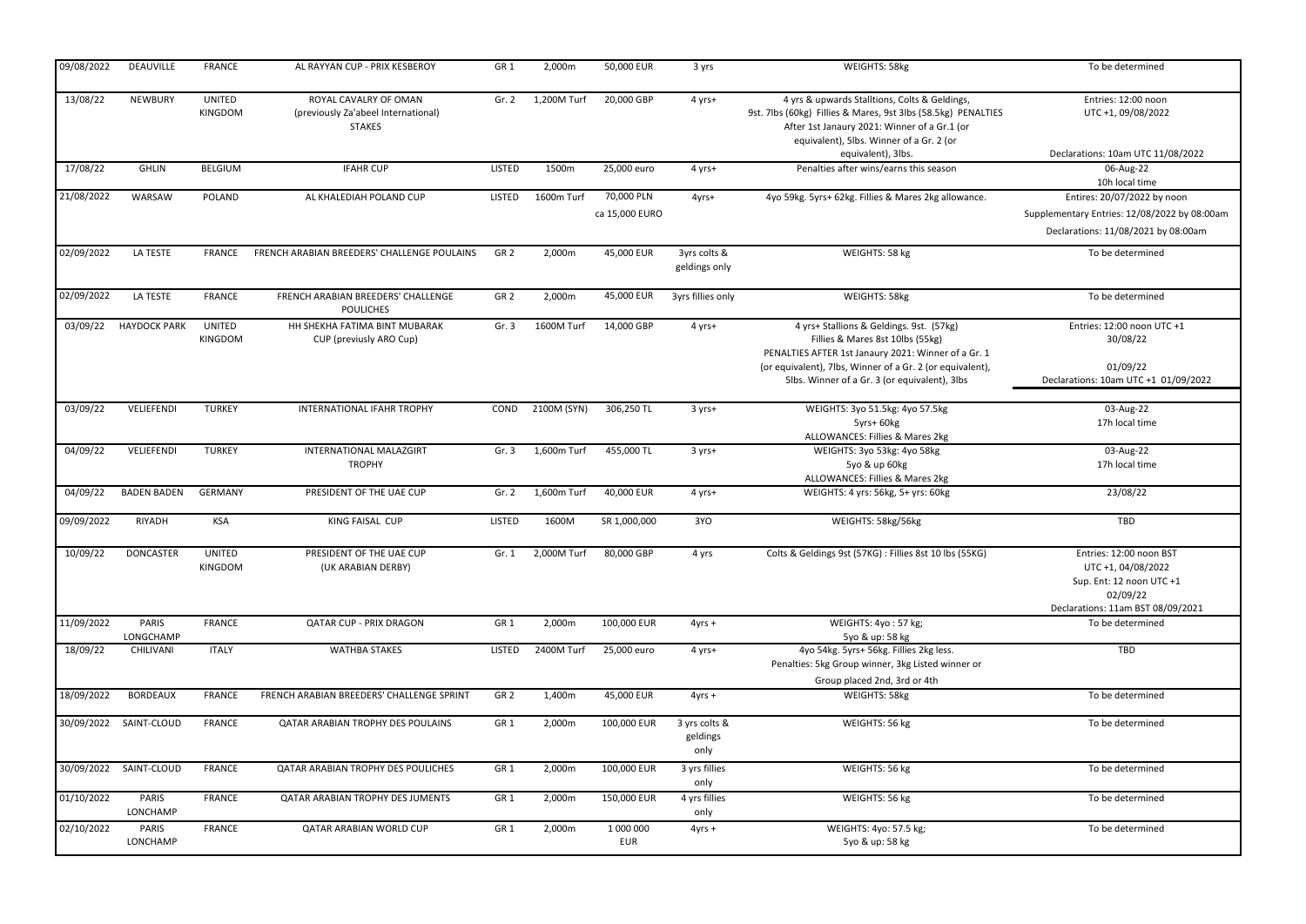| 09/08/2022 | DEAUVILLE           | <b>FRANCE</b>     | AL RAYYAN CUP - PRIX KESBEROY                                                 | GR <sub>1</sub> | 2,000m      | 50,000 EUR                   | 3 yrs                             | WEIGHTS: 58kg                                                                                                                                                                                                                                     | To be determined                                                                                                           |
|------------|---------------------|-------------------|-------------------------------------------------------------------------------|-----------------|-------------|------------------------------|-----------------------------------|---------------------------------------------------------------------------------------------------------------------------------------------------------------------------------------------------------------------------------------------------|----------------------------------------------------------------------------------------------------------------------------|
| 13/08/22   | <b>NEWBURY</b>      | UNITED<br>KINGDOM | ROYAL CAVALRY OF OMAN<br>(previously Za'abeel International)<br><b>STAKES</b> | Gr. 2           | 1,200M Turf | 20,000 GBP                   | 4 yrs+                            | 4 yrs & upwards Stalltions, Colts & Geldings,<br>9st. 7lbs (60kg) Fillies & Mares, 9st 3lbs (58.5kg) PENALTIES<br>After 1st Janaury 2021: Winner of a Gr.1 (or<br>equivalent), 5lbs. Winner of a Gr. 2 (or                                        | Entries: 12:00 noon<br>UTC +1, 09/08/2022                                                                                  |
| 17/08/22   | <b>GHLIN</b>        | <b>BELGIUM</b>    | <b>IFAHR CUP</b>                                                              | <b>LISTED</b>   | 1500m       | 25,000 euro                  | 4 yrs+                            | equivalent), 3lbs.<br>Penalties after wins/earns this season                                                                                                                                                                                      | Declarations: 10am UTC 11/08/2022<br>06-Aug-22                                                                             |
|            |                     |                   |                                                                               |                 |             |                              |                                   |                                                                                                                                                                                                                                                   | 10h local time                                                                                                             |
| 21/08/2022 | WARSAW              | POLAND            | AL KHALEDIAH POLAND CUP                                                       | LISTED          | 1600m Turf  | 70,000 PLN<br>ca 15,000 EURO | 4yrs+                             | 4yo 59kg. 5yrs+ 62kg. Fillies & Mares 2kg allowance.                                                                                                                                                                                              | Entires: 20/07/2022 by noon<br>Supplementary Entries: 12/08/2022 by 08:00am<br>Declarations: 11/08/2021 by 08:00am         |
| 02/09/2022 | LA TESTE            | <b>FRANCE</b>     | FRENCH ARABIAN BREEDERS' CHALLENGE POULAINS                                   | GR <sub>2</sub> | 2,000m      | 45,000 EUR                   | 3yrs colts &<br>geldings only     | WEIGHTS: 58 kg                                                                                                                                                                                                                                    | To be determined                                                                                                           |
| 02/09/2022 | LA TESTE            | <b>FRANCE</b>     | FRENCH ARABIAN BREEDERS' CHALLENGE<br><b>POULICHES</b>                        | GR <sub>2</sub> | 2,000m      | 45,000 EUR                   | 3yrs fillies only                 | WEIGHTS: 58kg                                                                                                                                                                                                                                     | To be determined                                                                                                           |
| 03/09/22   | <b>HAYDOCK PARK</b> | UNITED<br>KINGDOM | HH SHEKHA FATIMA BINT MUBARAK<br>CUP (previusly ARO Cup)                      | Gr.3            | 1600M Turf  | 14,000 GBP                   | 4 yrs+                            | 4 yrs+ Stallions & Geldings. 9st. (57kg)<br>Fillies & Mares 8st 10lbs (55kg)<br>PENALTIES AFTER 1st Janaury 2021: Winner of a Gr. 1<br>(or equivalent), 7lbs, Winner of a Gr. 2 (or equivalent),<br>5lbs. Winner of a Gr. 3 (or equivalent), 3lbs | Entries: 12:00 noon UTC +1<br>30/08/22<br>01/09/22<br>Declarations: 10am UTC +1 01/09/2022                                 |
| 03/09/22   | VELIEFENDI          | <b>TURKEY</b>     | <b>INTERNATIONAL IFAHR TROPHY</b>                                             | COND            | 2100M (SYN) | 306,250 TL                   | 3 yrs+                            | WEIGHTS: 3yo 51.5kg: 4yo 57.5kg<br>5yrs+ 60kg                                                                                                                                                                                                     | 03-Aug-22<br>17h local time                                                                                                |
| 04/09/22   | VELIEFENDI          | <b>TURKEY</b>     | INTERNATIONAL MALAZGIRT<br><b>TROPHY</b>                                      | Gr.3            | 1,600m Turf | 455,000 TL                   | $3 yrs+$                          | ALLOWANCES: Fillies & Mares 2kg<br>WEIGHTS: 3yo 53kg: 4yo 58kg<br>5yo & up 60kg<br>ALLOWANCES: Fillies & Mares 2kg                                                                                                                                | 03-Aug-22<br>17h local time                                                                                                |
| 04/09/22   | <b>BADEN BADEN</b>  | <b>GERMANY</b>    | PRESIDENT OF THE UAE CUP                                                      | Gr. $2$         | 1,600m Turf | 40,000 EUR                   | 4 yrs+                            | WEIGHTS: 4 yrs: 56kg, 5+ yrs: 60kg                                                                                                                                                                                                                | 23/08/22                                                                                                                   |
| 09/09/2022 | RIYADH              | <b>KSA</b>        | KING FAISAL CUP                                                               | <b>LISTED</b>   | 1600M       | SR 1,000,000                 | 3YO                               | WEIGHTS: 58kg/56kg                                                                                                                                                                                                                                | TBD                                                                                                                        |
| 10/09/22   | DONCASTER           | UNITED<br>KINGDOM | PRESIDENT OF THE UAE CUP<br>(UK ARABIAN DERBY)                                | Gr. 1           | 2,000M Turf | 80,000 GBP                   | 4 yrs                             | Colts & Geldings 9st (57KG) : Fillies 8st 10 lbs (55KG)                                                                                                                                                                                           | Entries: 12:00 noon BST<br>UTC +1, 04/08/2022<br>Sup. Ent: 12 noon UTC +1<br>02/09/22<br>Declarations: 11am BST 08/09/2021 |
| 11/09/2022 | PARIS<br>LONGCHAMP  | <b>FRANCE</b>     | <b>QATAR CUP - PRIX DRAGON</b>                                                | GR <sub>1</sub> | 2,000m      | 100,000 EUR                  | $4yrs +$                          | WEIGHTS: 4yo: 57 kg;<br>5yo & up: 58 kg                                                                                                                                                                                                           | To be determined                                                                                                           |
| 18/09/22   | CHILIVANI           | <b>ITALY</b>      | <b>WATHBA STAKES</b>                                                          | <b>LISTED</b>   | 2400M Turf  | 25,000 euro                  | 4 yrs+                            | 4yo 54kg. 5yrs+ 56kg. Fillies 2kg less.<br>Penalties: 5kg Group winner, 3kg Listed winner or<br>Group placed 2nd, 3rd or 4th                                                                                                                      | TBD                                                                                                                        |
| 18/09/2022 | <b>BORDEAUX</b>     | <b>FRANCE</b>     | FRENCH ARABIAN BREEDERS' CHALLENGE SPRINT                                     | GR <sub>2</sub> | 1,400m      | 45,000 EUR                   | $4yrs +$                          | WEIGHTS: 58kg                                                                                                                                                                                                                                     | To be determined                                                                                                           |
| 30/09/2022 | SAINT-CLOUD         | FRANCE            | QATAR ARABIAN TROPHY DES POULAINS                                             | GR <sub>1</sub> | 2,000m      | 100,000 EUR                  | 3 yrs colts &<br>geldings<br>only | WEIGHTS: 56 kg                                                                                                                                                                                                                                    | To be determined                                                                                                           |
| 30/09/2022 | SAINT-CLOUD         | <b>FRANCE</b>     | <b>QATAR ARABIAN TROPHY DES POULICHES</b>                                     | GR <sub>1</sub> | 2,000m      | 100,000 EUR                  | 3 yrs fillies<br>only             | WEIGHTS: 56 kg                                                                                                                                                                                                                                    | To be determined                                                                                                           |
| 01/10/2022 | PARIS<br>LONCHAMP   | <b>FRANCE</b>     | QATAR ARABIAN TROPHY DES JUMENTS                                              | GR <sub>1</sub> | 2,000m      | 150,000 EUR                  | 4 yrs fillies<br>only             | WEIGHTS: 56 kg                                                                                                                                                                                                                                    | To be determined                                                                                                           |
| 02/10/2022 | PARIS<br>LONCHAMP   | <b>FRANCE</b>     | QATAR ARABIAN WORLD CUP                                                       | GR <sub>1</sub> | 2,000m      | 1 000 000<br>EUR             | $4yrs +$                          | WEIGHTS: 4yo: 57.5 kg;<br>5yo & up: 58 kg                                                                                                                                                                                                         | To be determined                                                                                                           |